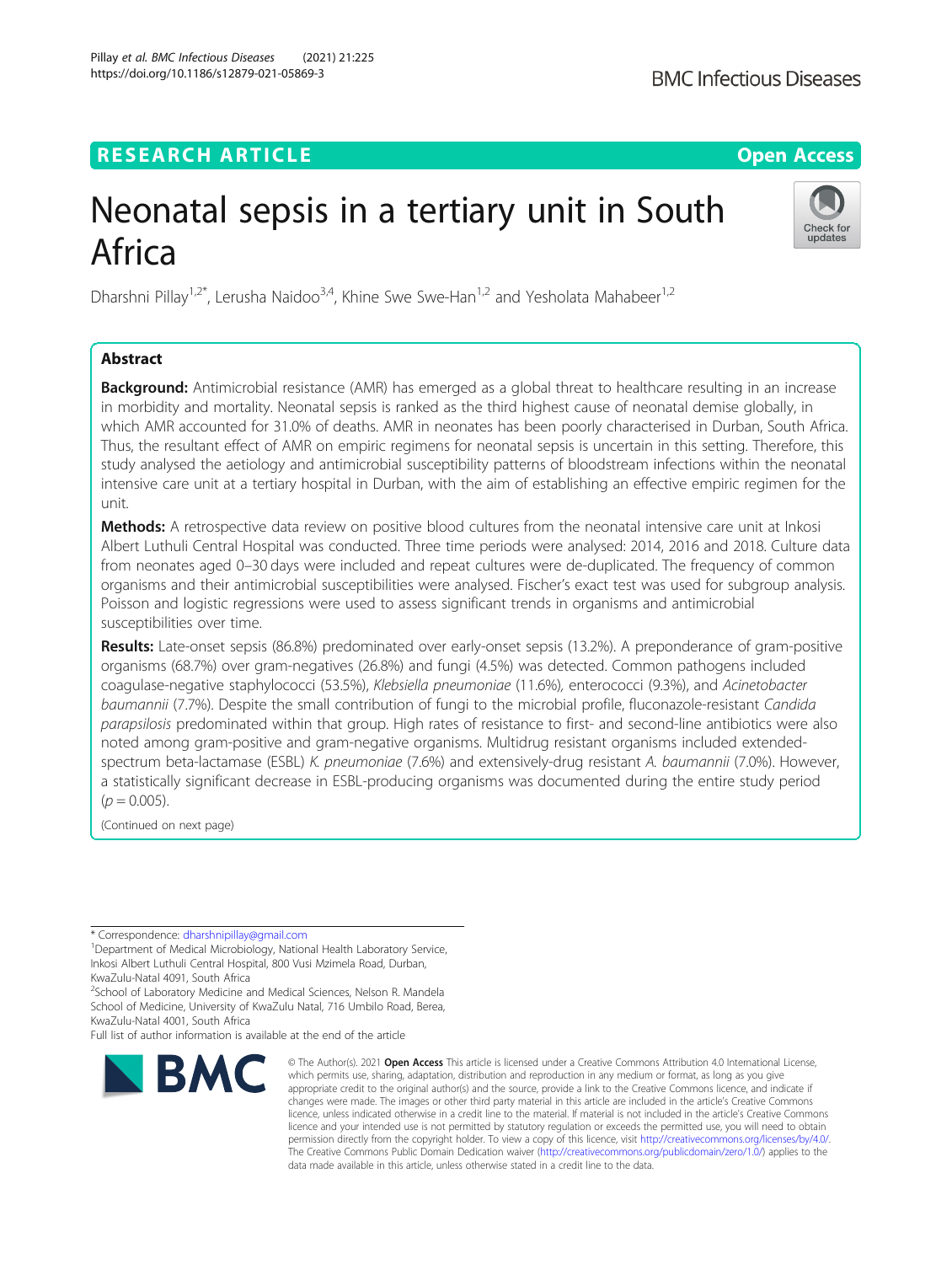# **RESEARCH ARTICLE Example 2014 12:30 The Contract of Contract ACCESS**

# Neonatal sepsis in a tertiary unit in South Africa

Dharshni Pillay<sup>1,2\*</sup>, Lerusha Naidoo<sup>3,4</sup>, Khine Swe Swe-Han<sup>1,2</sup> and Yesholata Mahabeer<sup>1,2</sup>

## Abstract

**Background:** Antimicrobial resistance (AMR) has emerged as a global threat to healthcare resulting in an increase in morbidity and mortality. Neonatal sepsis is ranked as the third highest cause of neonatal demise globally, in which AMR accounted for 31.0% of deaths. AMR in neonates has been poorly characterised in Durban, South Africa. Thus, the resultant effect of AMR on empiric regimens for neonatal sepsis is uncertain in this setting. Therefore, this study analysed the aetiology and antimicrobial susceptibility patterns of bloodstream infections within the neonatal intensive care unit at a tertiary hospital in Durban, with the aim of establishing an effective empiric regimen for the unit.

Methods: A retrospective data review on positive blood cultures from the neonatal intensive care unit at Inkosi Albert Luthuli Central Hospital was conducted. Three time periods were analysed: 2014, 2016 and 2018. Culture data from neonates aged 0–30 days were included and repeat cultures were de-duplicated. The frequency of common organisms and their antimicrobial susceptibilities were analysed. Fischer's exact test was used for subgroup analysis. Poisson and logistic regressions were used to assess significant trends in organisms and antimicrobial susceptibilities over time.

Results: Late-onset sepsis (86.8%) predominated over early-onset sepsis (13.2%). A preponderance of gram-positive organisms (68.7%) over gram-negatives (26.8%) and fungi (4.5%) was detected. Common pathogens included coagulase-negative staphylococci (53.5%), Klebsiella pneumoniae (11.6%), enterococci (9.3%), and Acinetobacter baumannii (7.7%). Despite the small contribution of fungi to the microbial profile, fluconazole-resistant Candida parapsilosis predominated within that group. High rates of resistance to first- and second-line antibiotics were also noted among gram-positive and gram-negative organisms. Multidrug resistant organisms included extendedspectrum beta-lactamase (ESBL) K. pneumoniae (7.6%) and extensively-drug resistant A. baumannii (7.0%). However, a statistically significant decrease in ESBL-producing organisms was documented during the entire study period  $(p = 0.005)$ .

(Continued on next page)

\* Correspondence: [dharshnipillay@gmail.com](mailto:dharshnipillay@gmail.com) <sup>1</sup>

Department of Medical Microbiology, National Health Laboratory Service, Inkosi Albert Luthuli Central Hospital, 800 Vusi Mzimela Road, Durban, KwaZulu-Natal 4091, South Africa

<sup>2</sup>School of Laboratory Medicine and Medical Sciences, Nelson R. Mandela School of Medicine, University of KwaZulu Natal, 716 Umbilo Road, Berea, KwaZulu-Natal 4001, South Africa

Full list of author information is available at the end of the article

data made available in this article, unless otherwise stated in a credit line to the data.

© The Author(s), 2021 **Open Access** This article is licensed under a Creative Commons Attribution 4.0 International License,



**BMC Infectious Diseases** 

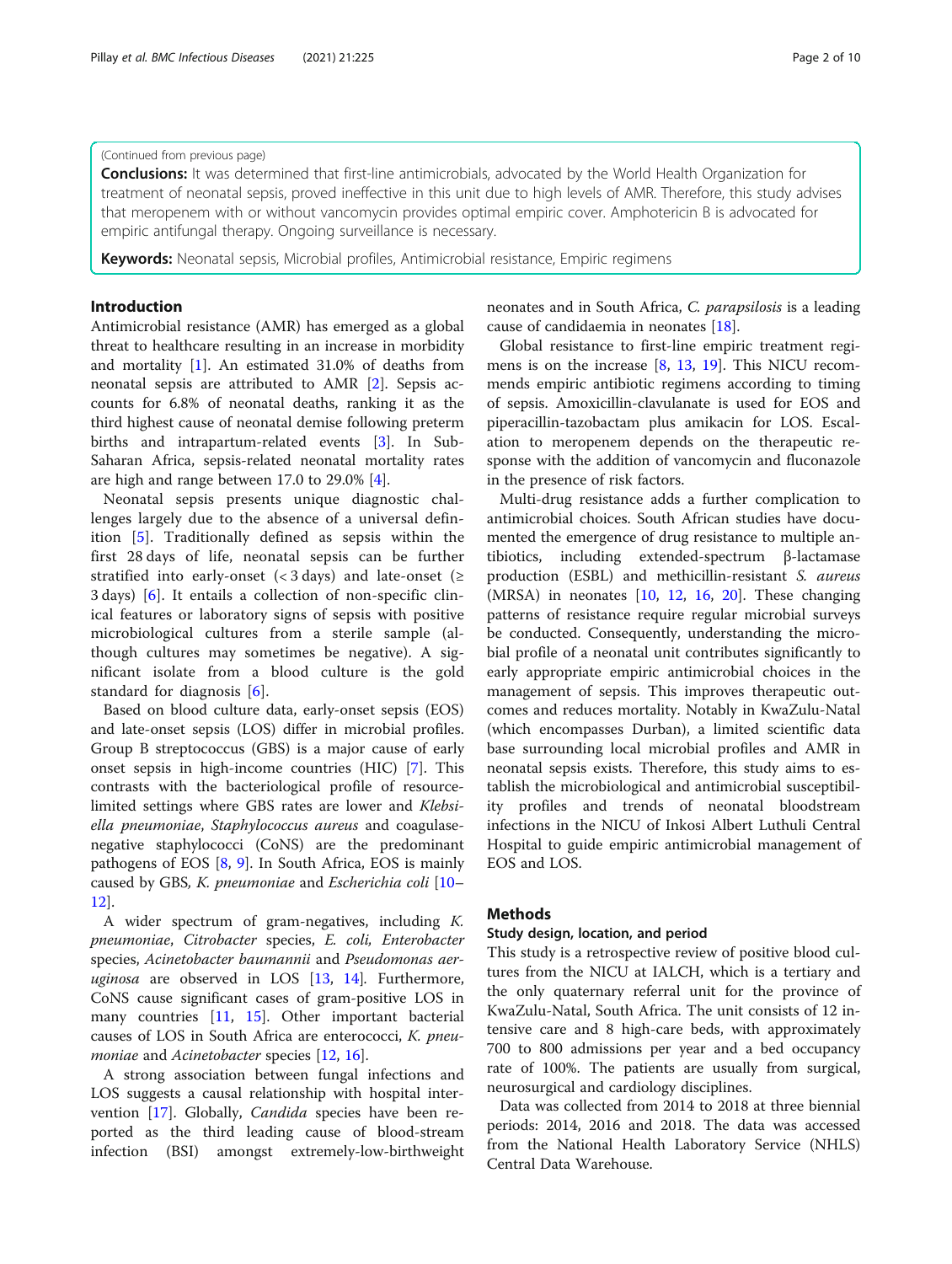### (Continued from previous page)

**Conclusions:** It was determined that first-line antimicrobials, advocated by the World Health Organization for treatment of neonatal sepsis, proved ineffective in this unit due to high levels of AMR. Therefore, this study advises that meropenem with or without vancomycin provides optimal empiric cover. Amphotericin B is advocated for empiric antifungal therapy. Ongoing surveillance is necessary.

Keywords: Neonatal sepsis, Microbial profiles, Antimicrobial resistance, Empiric regimens

#### Introduction

Antimicrobial resistance (AMR) has emerged as a global threat to healthcare resulting in an increase in morbidity and mortality [[1\]](#page-8-0). An estimated 31.0% of deaths from neonatal sepsis are attributed to AMR [[2\]](#page-8-0). Sepsis accounts for 6.8% of neonatal deaths, ranking it as the third highest cause of neonatal demise following preterm births and intrapartum-related events [[3\]](#page-8-0). In Sub-Saharan Africa, sepsis-related neonatal mortality rates are high and range between 17.0 to 29.0% [\[4\]](#page-8-0).

Neonatal sepsis presents unique diagnostic challenges largely due to the absence of a universal definition [[5\]](#page-8-0). Traditionally defined as sepsis within the first 28 days of life, neonatal sepsis can be further stratified into early-onset ( $\lt$  3 days) and late-onset ( $\ge$ 3 days) [[6\]](#page-8-0). It entails a collection of non-specific clinical features or laboratory signs of sepsis with positive microbiological cultures from a sterile sample (although cultures may sometimes be negative). A significant isolate from a blood culture is the gold standard for diagnosis [[6\]](#page-8-0).

Based on blood culture data, early-onset sepsis (EOS) and late-onset sepsis (LOS) differ in microbial profiles. Group B streptococcus (GBS) is a major cause of early onset sepsis in high-income countries (HIC) [\[7\]](#page-8-0). This contrasts with the bacteriological profile of resourcelimited settings where GBS rates are lower and Klebsiella pneumoniae, Staphylococcus aureus and coagulasenegative staphylococci (CoNS) are the predominant pathogens of EOS [[8,](#page-8-0) [9](#page-8-0)]. In South Africa, EOS is mainly caused by GBS, K. pneumoniae and Escherichia coli [[10](#page-8-0)– [12\]](#page-8-0).

A wider spectrum of gram-negatives, including K. pneumoniae, Citrobacter species, E. coli, Enterobacter species, Acinetobacter baumannii and Pseudomonas aeruginosa are observed in LOS  $[13, 14]$  $[13, 14]$  $[13, 14]$  $[13, 14]$ . Furthermore, CoNS cause significant cases of gram-positive LOS in many countries [[11](#page-8-0), [15\]](#page-9-0). Other important bacterial causes of LOS in South Africa are enterococci, K. pneu-moniae and Acinetobacter species [[12,](#page-8-0) [16\]](#page-9-0).

A strong association between fungal infections and LOS suggests a causal relationship with hospital inter-vention [\[17](#page-9-0)]. Globally, *Candida* species have been reported as the third leading cause of blood-stream infection (BSI) amongst extremely-low-birthweight neonates and in South Africa, C. parapsilosis is a leading cause of candidaemia in neonates [\[18\]](#page-9-0).

Global resistance to first-line empiric treatment regimens is on the increase [\[8](#page-8-0), [13](#page-8-0), [19](#page-9-0)]. This NICU recommends empiric antibiotic regimens according to timing of sepsis. Amoxicillin-clavulanate is used for EOS and piperacillin-tazobactam plus amikacin for LOS. Escalation to meropenem depends on the therapeutic response with the addition of vancomycin and fluconazole in the presence of risk factors.

Multi-drug resistance adds a further complication to antimicrobial choices. South African studies have documented the emergence of drug resistance to multiple antibiotics, including extended-spectrum β-lactamase production (ESBL) and methicillin-resistant S. aureus (MRSA) in neonates [[10,](#page-8-0) [12,](#page-8-0) [16,](#page-9-0) [20\]](#page-9-0). These changing patterns of resistance require regular microbial surveys be conducted. Consequently, understanding the microbial profile of a neonatal unit contributes significantly to early appropriate empiric antimicrobial choices in the management of sepsis. This improves therapeutic outcomes and reduces mortality. Notably in KwaZulu-Natal (which encompasses Durban), a limited scientific data base surrounding local microbial profiles and AMR in neonatal sepsis exists. Therefore, this study aims to establish the microbiological and antimicrobial susceptibility profiles and trends of neonatal bloodstream infections in the NICU of Inkosi Albert Luthuli Central Hospital to guide empiric antimicrobial management of EOS and LOS.

## **Methods**

#### Study design, location, and period

This study is a retrospective review of positive blood cultures from the NICU at IALCH, which is a tertiary and the only quaternary referral unit for the province of KwaZulu-Natal, South Africa. The unit consists of 12 intensive care and 8 high-care beds, with approximately 700 to 800 admissions per year and a bed occupancy rate of 100%. The patients are usually from surgical, neurosurgical and cardiology disciplines.

Data was collected from 2014 to 2018 at three biennial periods: 2014, 2016 and 2018. The data was accessed from the National Health Laboratory Service (NHLS) Central Data Warehouse.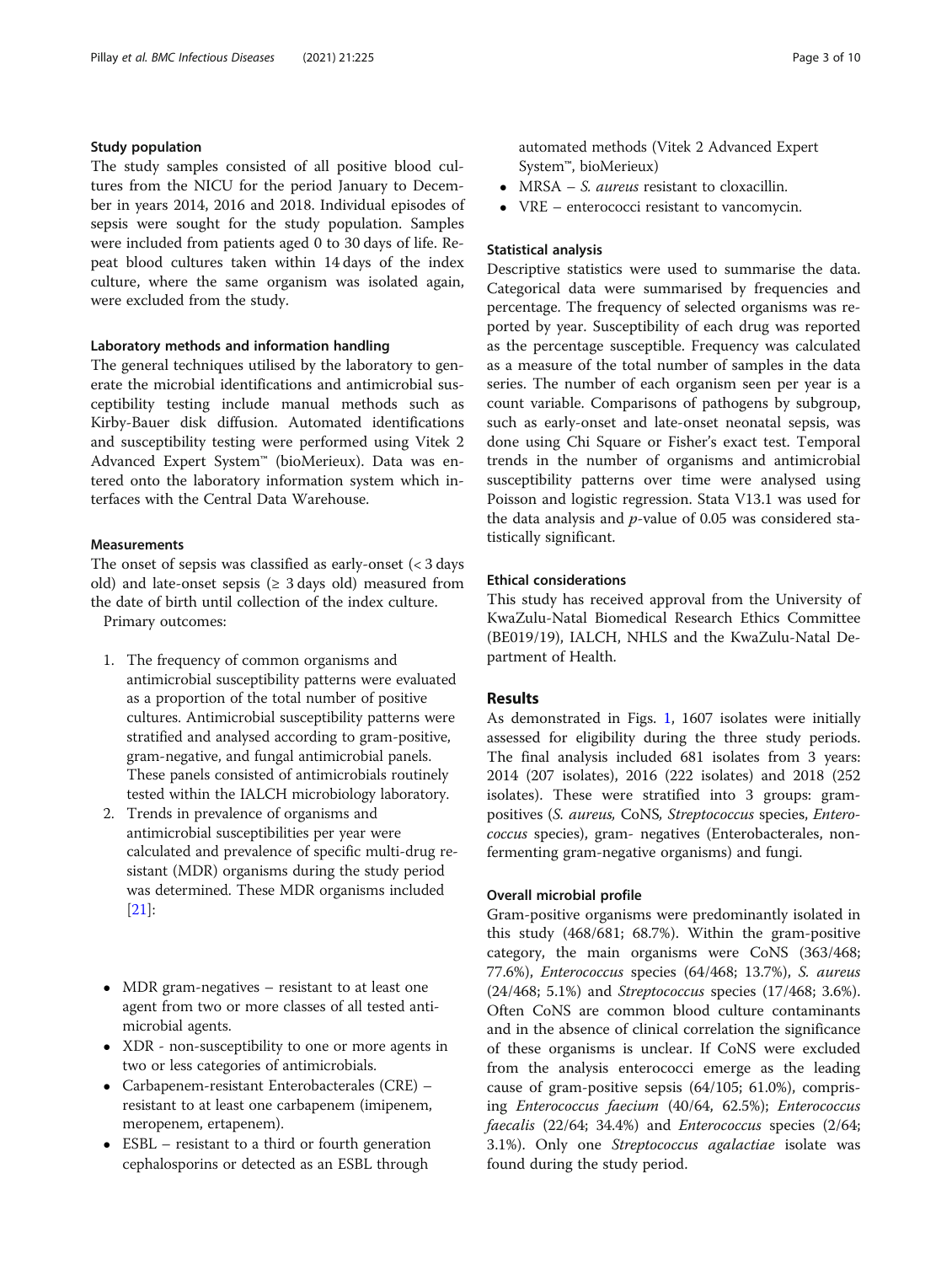## Study population

The study samples consisted of all positive blood cultures from the NICU for the period January to December in years 2014, 2016 and 2018. Individual episodes of sepsis were sought for the study population. Samples were included from patients aged 0 to 30 days of life. Repeat blood cultures taken within 14 days of the index culture, where the same organism was isolated again, were excluded from the study.

## Laboratory methods and information handling

The general techniques utilised by the laboratory to generate the microbial identifications and antimicrobial susceptibility testing include manual methods such as Kirby-Bauer disk diffusion. Automated identifications and susceptibility testing were performed using Vitek 2 Advanced Expert System™ (bioMerieux). Data was entered onto the laboratory information system which interfaces with the Central Data Warehouse.

## **Measurements**

The onset of sepsis was classified as early-onset  $\langle$  < 3 days old) and late-onset sepsis ( $\geq$  3 days old) measured from the date of birth until collection of the index culture.

Primary outcomes:

- 1. The frequency of common organisms and antimicrobial susceptibility patterns were evaluated as a proportion of the total number of positive cultures. Antimicrobial susceptibility patterns were stratified and analysed according to gram-positive, gram-negative, and fungal antimicrobial panels. These panels consisted of antimicrobials routinely tested within the IALCH microbiology laboratory.
- 2. Trends in prevalence of organisms and antimicrobial susceptibilities per year were calculated and prevalence of specific multi-drug resistant (MDR) organisms during the study period was determined. These MDR organisms included [\[21](#page-9-0)]:
- MDR gram-negatives resistant to at least one agent from two or more classes of all tested antimicrobial agents.
- XDR non-susceptibility to one or more agents in two or less categories of antimicrobials.
- Carbapenem-resistant Enterobacterales (CRE) resistant to at least one carbapenem (imipenem, meropenem, ertapenem).
- ESBL resistant to a third or fourth generation cephalosporins or detected as an ESBL through

automated methods (Vitek 2 Advanced Expert System™, bioMerieux)

- MRSA S. aureus resistant to cloxacillin.
- VRE enterococci resistant to vancomycin.

## Statistical analysis

Descriptive statistics were used to summarise the data. Categorical data were summarised by frequencies and percentage. The frequency of selected organisms was reported by year. Susceptibility of each drug was reported as the percentage susceptible. Frequency was calculated as a measure of the total number of samples in the data series. The number of each organism seen per year is a count variable. Comparisons of pathogens by subgroup, such as early-onset and late-onset neonatal sepsis, was done using Chi Square or Fisher's exact test. Temporal trends in the number of organisms and antimicrobial susceptibility patterns over time were analysed using Poisson and logistic regression. Stata V13.1 was used for the data analysis and  $p$ -value of 0.05 was considered statistically significant.

## Ethical considerations

This study has received approval from the University of KwaZulu-Natal Biomedical Research Ethics Committee (BE019/19), IALCH, NHLS and the KwaZulu-Natal Department of Health.

## Results

As demonstrated in Figs. [1](#page-3-0), 1607 isolates were initially assessed for eligibility during the three study periods. The final analysis included 681 isolates from 3 years: 2014 (207 isolates), 2016 (222 isolates) and 2018 (252 isolates). These were stratified into 3 groups: grampositives (S. aureus, CoNS, Streptococcus species, Enterococcus species), gram- negatives (Enterobacterales, nonfermenting gram-negative organisms) and fungi.

#### Overall microbial profile

Gram-positive organisms were predominantly isolated in this study (468/681; 68.7%). Within the gram-positive category, the main organisms were CoNS (363/468; 77.6%), Enterococcus species (64/468; 13.7%), S. aureus (24/468; 5.1%) and Streptococcus species (17/468; 3.6%). Often CoNS are common blood culture contaminants and in the absence of clinical correlation the significance of these organisms is unclear. If CoNS were excluded from the analysis enterococci emerge as the leading cause of gram-positive sepsis (64/105; 61.0%), comprising Enterococcus faecium (40/64, 62.5%); Enterococcus faecalis (22/64; 34.4%) and Enterococcus species (2/64; 3.1%). Only one Streptococcus agalactiae isolate was found during the study period.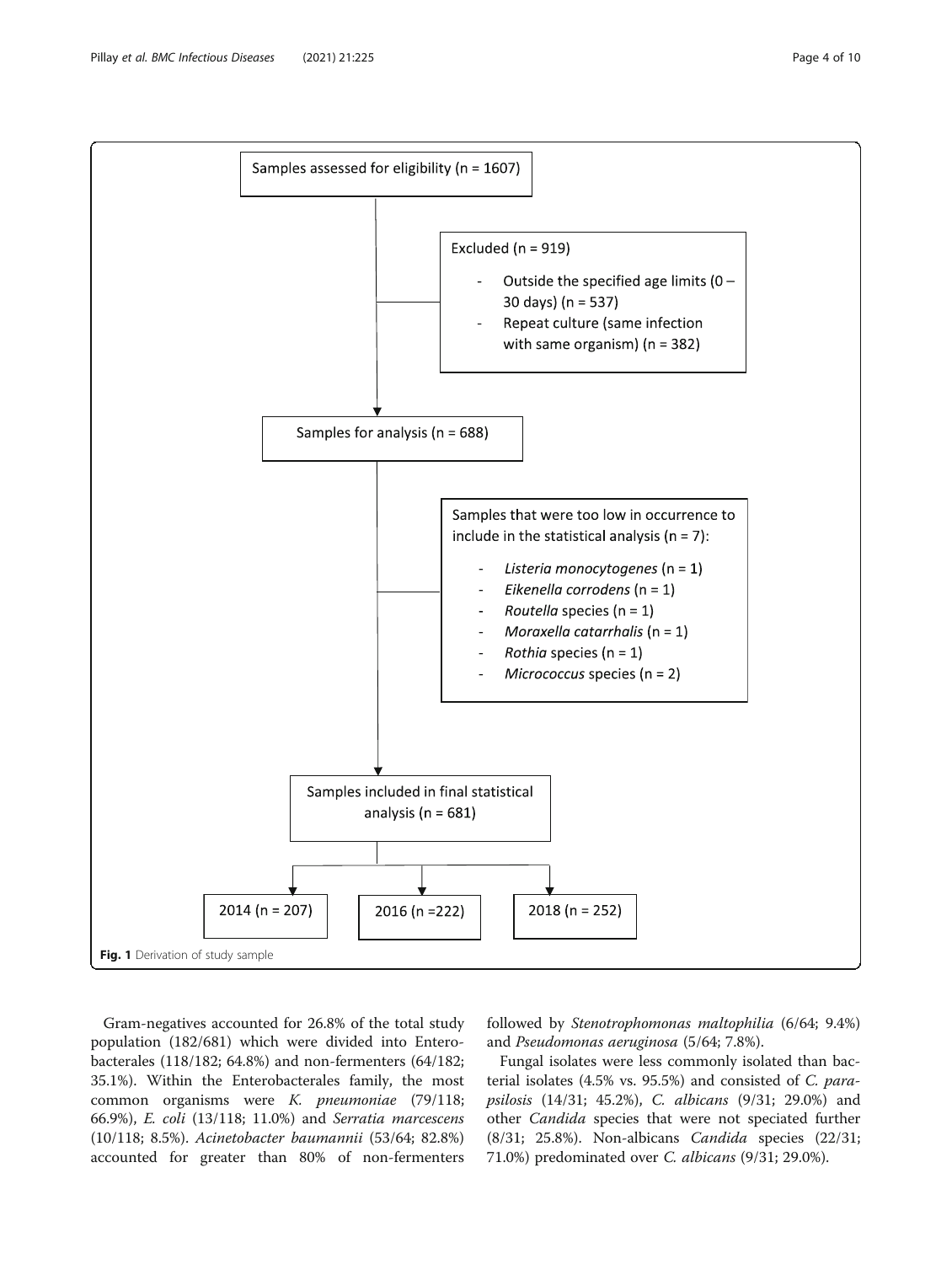<span id="page-3-0"></span>

Gram-negatives accounted for 26.8% of the total study population (182/681) which were divided into Enterobacterales (118/182; 64.8%) and non-fermenters (64/182; 35.1%). Within the Enterobacterales family, the most common organisms were K. pneumoniae (79/118; 66.9%), E. coli (13/118; 11.0%) and Serratia marcescens (10/118; 8.5%). Acinetobacter baumannii (53/64; 82.8%) accounted for greater than 80% of non-fermenters

followed by Stenotrophomonas maltophilia (6/64; 9.4%) and Pseudomonas aeruginosa (5/64; 7.8%).

Fungal isolates were less commonly isolated than bacterial isolates (4.5% vs. 95.5%) and consisted of C. parapsilosis (14/31; 45.2%), C. albicans (9/31; 29.0%) and other Candida species that were not speciated further (8/31; 25.8%). Non-albicans Candida species (22/31; 71.0%) predominated over C. albicans (9/31; 29.0%).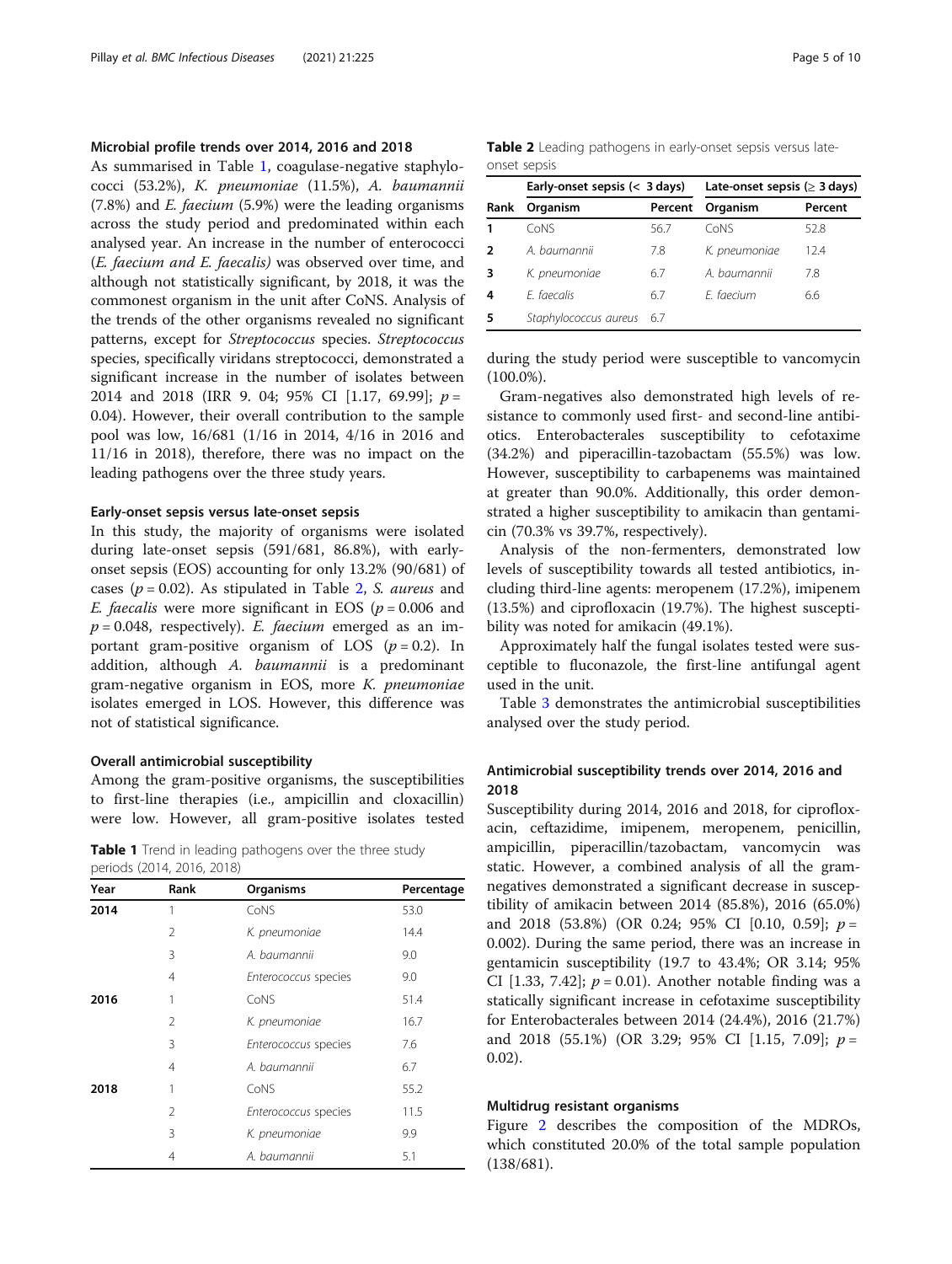## Microbial profile trends over 2014, 2016 and 2018

As summarised in Table 1, coagulase-negative staphylococci (53.2%), K. pneumoniae (11.5%), A. baumannii  $(7.8\%)$  and *E. faecium*  $(5.9\%)$  were the leading organisms across the study period and predominated within each analysed year. An increase in the number of enterococci (E. faecium and E. faecalis) was observed over time, and although not statistically significant, by 2018, it was the commonest organism in the unit after CoNS. Analysis of the trends of the other organisms revealed no significant patterns, except for Streptococcus species. Streptococcus species, specifically viridans streptococci, demonstrated a significant increase in the number of isolates between 2014 and 2018 (IRR 9. 04; 95% CI [1.17, 69.99];  $p =$ 0.04). However, their overall contribution to the sample pool was low, 16/681 (1/16 in 2014, 4/16 in 2016 and 11/16 in 2018), therefore, there was no impact on the leading pathogens over the three study years.

#### Early-onset sepsis versus late-onset sepsis

In this study, the majority of organisms were isolated during late-onset sepsis (591/681, 86.8%), with earlyonset sepsis (EOS) accounting for only 13.2% (90/681) of cases ( $p = 0.02$ ). As stipulated in Table 2, *S. aureus* and *E. faecalis* were more significant in EOS ( $p = 0.006$  and  $p = 0.048$ , respectively). E. faecium emerged as an important gram-positive organism of LOS  $(p = 0.2)$ . In addition, although A. baumannii is a predominant gram-negative organism in EOS, more K. pneumoniae isolates emerged in LOS. However, this difference was not of statistical significance.

#### Overall antimicrobial susceptibility

Among the gram-positive organisms, the susceptibilities to first-line therapies (i.e., ampicillin and cloxacillin) were low. However, all gram-positive isolates tested

**Table 1** Trend in leading pathogens over the three study periods (2014, 2016, 2018)

| Year | Rank           | Organisms            | Percentage |
|------|----------------|----------------------|------------|
| 2014 | 1              | CoNS                 | 53.0       |
|      | 2              | K. pneumoniae        | 14.4       |
|      | 3              | A. baumannii         | 9.0        |
|      | 4              | Enterococcus species | 9.0        |
| 2016 | 1              | CoNS                 | 51.4       |
|      | 2              | K. pneumoniae        | 16.7       |
|      | 3              | Enterococcus species | 7.6        |
|      | $\overline{4}$ | A. baumannii         | 6.7        |
| 2018 | 1              | CoNS                 | 55.2       |
|      | $\mathfrak{D}$ | Enterococcus species | 11.5       |
|      | 3              | K. pneumoniae        | 9.9        |
|      | 4              | A. baumannii         | 5.1        |

Table 2 Leading pathogens in early-onset sepsis versus lateonset sepsis

|      | Early-onset sepsis $(<$ 3 days) |         | Late-onset sepsis ( $\geq$ 3 days) |         |  |
|------|---------------------------------|---------|------------------------------------|---------|--|
| Rank | Organism                        | Percent | Organism                           | Percent |  |
| 1    | CoNS                            | 56.7    | CoNS                               | 52.8    |  |
| 2    | A. baumannii                    | 7.8     | K. pneumoniae                      | 12.4    |  |
| 3    | K. pneumoniae                   | 6.7     | A. baumannii                       | 7.8     |  |
| 4    | F. faecalis                     | 6.7     | E. faecium                         | 6.6     |  |
| 5    | Staphylococcus aureus           | 6.7     |                                    |         |  |

during the study period were susceptible to vancomycin (100.0%).

Gram-negatives also demonstrated high levels of resistance to commonly used first- and second-line antibiotics. Enterobacterales susceptibility to cefotaxime (34.2%) and piperacillin-tazobactam (55.5%) was low. However, susceptibility to carbapenems was maintained at greater than 90.0%. Additionally, this order demonstrated a higher susceptibility to amikacin than gentamicin (70.3% vs 39.7%, respectively).

Analysis of the non-fermenters, demonstrated low levels of susceptibility towards all tested antibiotics, including third-line agents: meropenem (17.2%), imipenem (13.5%) and ciprofloxacin (19.7%). The highest susceptibility was noted for amikacin (49.1%).

Approximately half the fungal isolates tested were susceptible to fluconazole, the first-line antifungal agent used in the unit.

Table [3](#page-5-0) demonstrates the antimicrobial susceptibilities analysed over the study period.

## Antimicrobial susceptibility trends over 2014, 2016 and 2018

Susceptibility during 2014, 2016 and 2018, for ciprofloxacin, ceftazidime, imipenem, meropenem, penicillin, ampicillin, piperacillin/tazobactam, vancomycin was static. However, a combined analysis of all the gramnegatives demonstrated a significant decrease in susceptibility of amikacin between 2014 (85.8%), 2016 (65.0%) and 2018 (53.8%) (OR 0.24; 95% CI [0.10, 0.59];  $p =$ 0.002). During the same period, there was an increase in gentamicin susceptibility (19.7 to 43.4%; OR 3.14; 95% CI [1.33, 7.42];  $p = 0.01$ ). Another notable finding was a statically significant increase in cefotaxime susceptibility for Enterobacterales between 2014 (24.4%), 2016 (21.7%) and 2018 (55.1%) (OR 3.29; 95% CI [1.15, 7.09];  $p =$ 0.02).

#### Multidrug resistant organisms

Figure [2](#page-6-0) describes the composition of the MDROs, which constituted 20.0% of the total sample population (138/681).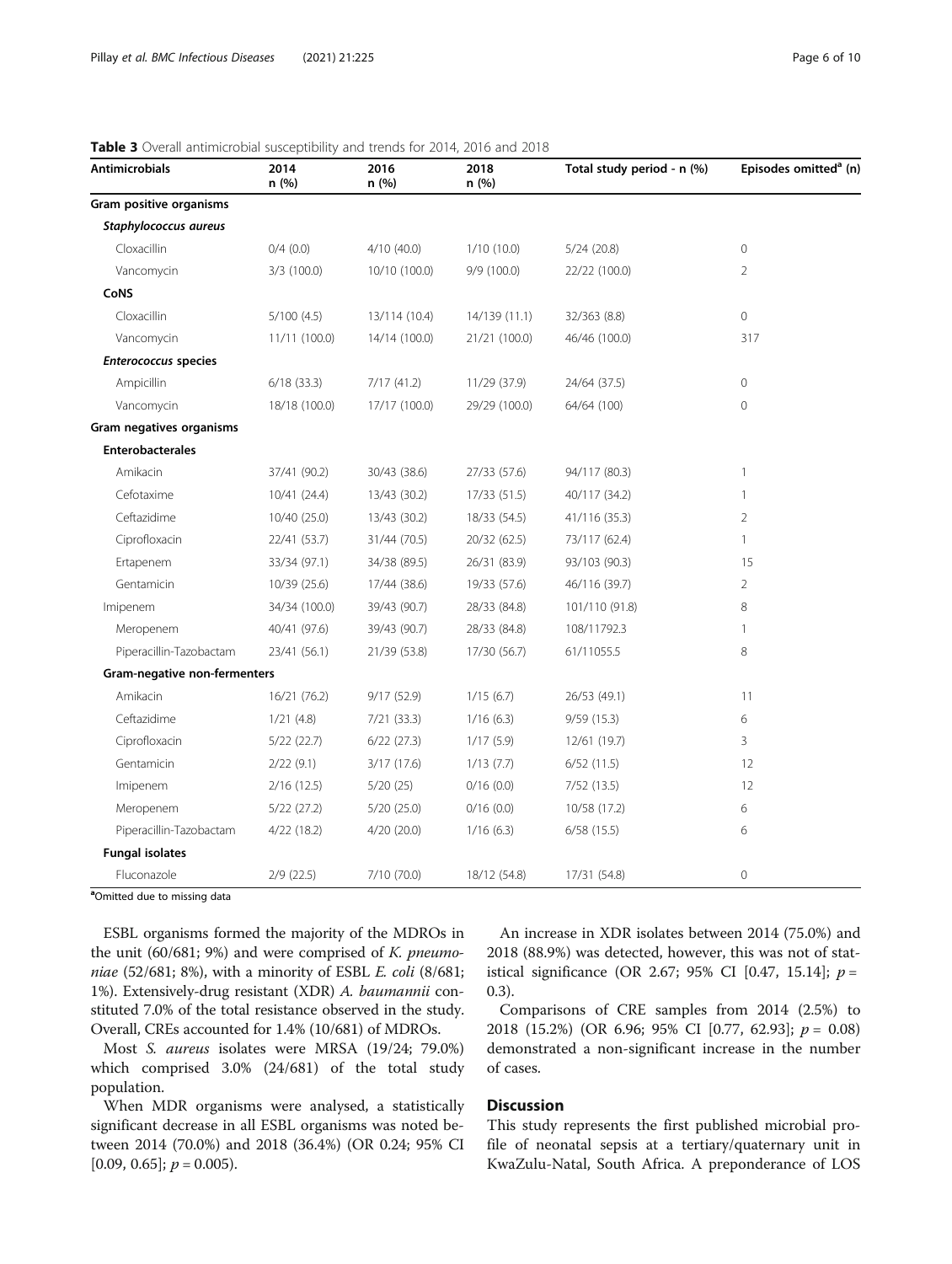| <b>Antimicrobials</b>        | 2014<br>n(%)  | 2016<br>n (%) | 2018<br>n(%)  | Total study period - n (%) | Episodes omitted <sup>a</sup> (n) |
|------------------------------|---------------|---------------|---------------|----------------------------|-----------------------------------|
| Gram positive organisms      |               |               |               |                            |                                   |
| Staphylococcus aureus        |               |               |               |                            |                                   |
| Cloxacillin                  | $0/4$ $(0.0)$ | 4/10 (40.0)   | 1/10(10.0)    | 5/24(20.8)                 | $\mathbf{0}$                      |
| Vancomycin                   | $3/3$ (100.0) | 10/10 (100.0) | 9/9(100.0)    | 22/22 (100.0)              | $\overline{2}$                    |
| CoNS                         |               |               |               |                            |                                   |
| Cloxacillin                  | 5/100(4.5)    | 13/114 (10.4) | 14/139 (11.1) | 32/363 (8.8)               | $\mathbf 0$                       |
| Vancomycin                   | 11/11 (100.0) | 14/14 (100.0) | 21/21 (100.0) | 46/46 (100.0)              | 317                               |
| <b>Enterococcus species</b>  |               |               |               |                            |                                   |
| Ampicillin                   | 6/18(33.3)    | 7/17(41.2)    | 11/29 (37.9)  | 24/64 (37.5)               | $\mathbf{0}$                      |
| Vancomycin                   | 18/18 (100.0) | 17/17 (100.0) | 29/29 (100.0) | 64/64 (100)                | $\overline{0}$                    |
| Gram negatives organisms     |               |               |               |                            |                                   |
| <b>Enterobacterales</b>      |               |               |               |                            |                                   |
| Amikacin                     | 37/41 (90.2)  | 30/43 (38.6)  | 27/33 (57.6)  | 94/117 (80.3)              | 1                                 |
| Cefotaxime                   | 10/41 (24.4)  | 13/43 (30.2)  | 17/33 (51.5)  | 40/117 (34.2)              | $\mathbf{1}$                      |
| Ceftazidime                  | 10/40 (25.0)  | 13/43 (30.2)  | 18/33 (54.5)  | 41/116 (35.3)              | $\overline{2}$                    |
| Ciprofloxacin                | 22/41 (53.7)  | 31/44 (70.5)  | 20/32 (62.5)  | 73/117 (62.4)              | 1                                 |
| Ertapenem                    | 33/34 (97.1)  | 34/38 (89.5)  | 26/31 (83.9)  | 93/103 (90.3)              | 15                                |
| Gentamicin                   | 10/39 (25.6)  | 17/44 (38.6)  | 19/33 (57.6)  | 46/116 (39.7)              | 2                                 |
| Imipenem                     | 34/34 (100.0) | 39/43 (90.7)  | 28/33 (84.8)  | 101/110 (91.8)             | 8                                 |
| Meropenem                    | 40/41 (97.6)  | 39/43 (90.7)  | 28/33 (84.8)  | 108/11792.3                | 1                                 |
| Piperacillin-Tazobactam      | 23/41 (56.1)  | 21/39 (53.8)  | 17/30 (56.7)  | 61/11055.5                 | 8                                 |
| Gram-negative non-fermenters |               |               |               |                            |                                   |
| Amikacin                     | 16/21 (76.2)  | 9/17(52.9)    | 1/15(6.7)     | 26/53 (49.1)               | 11                                |
| Ceftazidime                  | 1/21(4.8)     | 7/21(33.3)    | 1/16(6.3)     | 9/59(15.3)                 | 6                                 |
| Ciprofloxacin                | 5/22(22.7)    | $6/22$ (27.3) | 1/17(5.9)     | 12/61 (19.7)               | 3                                 |
| Gentamicin                   | 2/22(9.1)     | 3/17(17.6)    | 1/13(7.7)     | 6/52(11.5)                 | 12                                |
| Imipenem                     | 2/16(12.5)    | 5/20(25)      | 0/16(0.0)     | 7/52 (13.5)                | 12                                |
| Meropenem                    | 5/22(27.2)    | 5/20(25.0)    | 0/16(0.0)     | 10/58 (17.2)               | 6                                 |
| Piperacillin-Tazobactam      | 4/22 (18.2)   | 4/20 (20.0)   | 1/16(6.3)     | 6/58(15.5)                 | 6                                 |
| <b>Fungal isolates</b>       |               |               |               |                            |                                   |
| Fluconazole                  | 2/9(22.5)     | 7/10 (70.0)   | 18/12 (54.8)  | 17/31 (54.8)               | $\mathbf 0$                       |

<span id="page-5-0"></span>

| <b>Table 3</b> Overall antimicrobial susceptibility and trends for 2014, 2016 and 2018 |  |
|----------------------------------------------------------------------------------------|--|
|----------------------------------------------------------------------------------------|--|

<sup>a</sup>Omitted due to missing data

ESBL organisms formed the majority of the MDROs in the unit  $(60/681; 9%)$  and were comprised of K. pneumoniae (52/681; 8%), with a minority of ESBL E. coli (8/681; 1%). Extensively-drug resistant (XDR) A. baumannii constituted 7.0% of the total resistance observed in the study. Overall, CREs accounted for 1.4% (10/681) of MDROs.

Most S. aureus isolates were MRSA (19/24; 79.0%) which comprised 3.0% (24/681) of the total study population.

When MDR organisms were analysed, a statistically significant decrease in all ESBL organisms was noted between 2014 (70.0%) and 2018 (36.4%) (OR 0.24; 95% CI  $[0.09, 0.65]$ ;  $p = 0.005$ ).

An increase in XDR isolates between 2014 (75.0%) and 2018 (88.9%) was detected, however, this was not of statistical significance (OR 2.67; 95% CI [0.47, 15.14];  $p =$ 0.3).

Comparisons of CRE samples from 2014 (2.5%) to 2018 (15.2%) (OR 6.96; 95% CI [0.77, 62.93];  $p = 0.08$ ) demonstrated a non-significant increase in the number of cases.

## **Discussion**

This study represents the first published microbial profile of neonatal sepsis at a tertiary/quaternary unit in KwaZulu-Natal, South Africa. A preponderance of LOS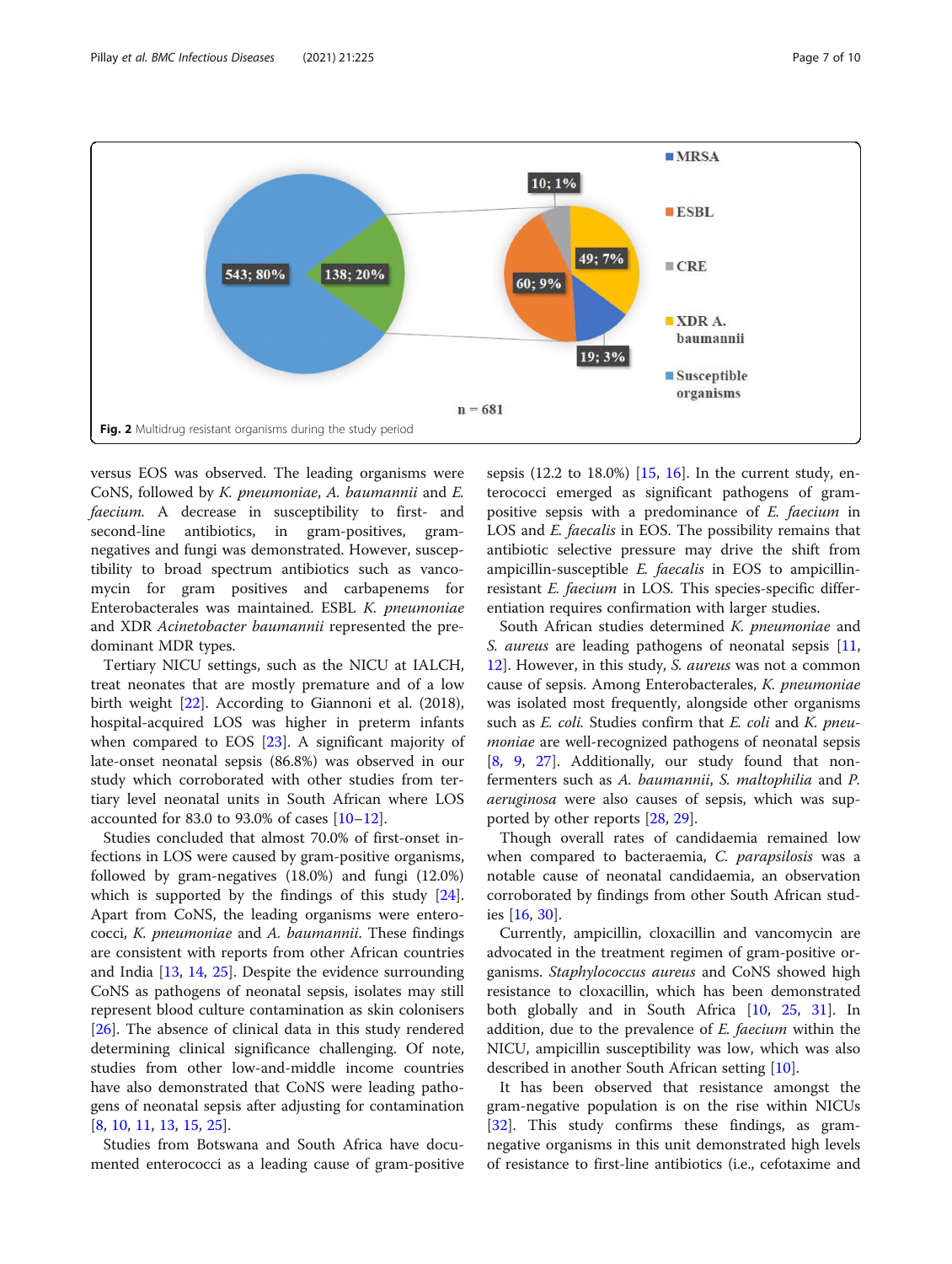<span id="page-6-0"></span>

versus EOS was observed. The leading organisms were CoNS, followed by K. pneumoniae, A. baumannii and E. faecium. A decrease in susceptibility to first- and second-line antibiotics, in gram-positives, gramnegatives and fungi was demonstrated. However, susceptibility to broad spectrum antibiotics such as vancomycin for gram positives and carbapenems for Enterobacterales was maintained. ESBL K. pneumoniae and XDR Acinetobacter baumannii represented the predominant MDR types.

Tertiary NICU settings, such as the NICU at IALCH, treat neonates that are mostly premature and of a low birth weight [\[22](#page-9-0)]. According to Giannoni et al. (2018), hospital-acquired LOS was higher in preterm infants when compared to EOS [[23\]](#page-9-0). A significant majority of late-onset neonatal sepsis (86.8%) was observed in our study which corroborated with other studies from tertiary level neonatal units in South African where LOS accounted for 83.0 to 93.0% of cases  $[10-12]$  $[10-12]$  $[10-12]$  $[10-12]$  $[10-12]$ .

Studies concluded that almost 70.0% of first-onset infections in LOS were caused by gram-positive organisms, followed by gram-negatives (18.0%) and fungi (12.0%) which is supported by the findings of this study [\[24](#page-9-0)]. Apart from CoNS, the leading organisms were enterococci, K. pneumoniae and A. baumannii. These findings are consistent with reports from other African countries and India [\[13](#page-8-0), [14,](#page-8-0) [25\]](#page-9-0). Despite the evidence surrounding CoNS as pathogens of neonatal sepsis, isolates may still represent blood culture contamination as skin colonisers [[26\]](#page-9-0). The absence of clinical data in this study rendered determining clinical significance challenging. Of note, studies from other low-and-middle income countries have also demonstrated that CoNS were leading pathogens of neonatal sepsis after adjusting for contamination [[8,](#page-8-0) [10,](#page-8-0) [11,](#page-8-0) [13](#page-8-0), [15](#page-9-0), [25](#page-9-0)].

Studies from Botswana and South Africa have documented enterococci as a leading cause of gram-positive sepsis (12.2 to 18.0%)  $[15, 16]$  $[15, 16]$  $[15, 16]$  $[15, 16]$  $[15, 16]$ . In the current study, enterococci emerged as significant pathogens of grampositive sepsis with a predominance of E. faecium in LOS and *E. faecalis* in EOS. The possibility remains that antibiotic selective pressure may drive the shift from ampicillin-susceptible E. faecalis in EOS to ampicillinresistant E. faecium in LOS. This species-specific differentiation requires confirmation with larger studies.

South African studies determined K. pneumoniae and S. aureus are leading pathogens of neonatal sepsis [[11](#page-8-0), [12\]](#page-8-0). However, in this study, S. aureus was not a common cause of sepsis. Among Enterobacterales, K. pneumoniae was isolated most frequently, alongside other organisms such as E. coli. Studies confirm that E. coli and K. pneumoniae are well-recognized pathogens of neonatal sepsis [[8,](#page-8-0) [9,](#page-8-0) [27](#page-9-0)]. Additionally, our study found that nonfermenters such as A. baumannii, S. maltophilia and P. aeruginosa were also causes of sepsis, which was supported by other reports [[28](#page-9-0), [29](#page-9-0)].

Though overall rates of candidaemia remained low when compared to bacteraemia, C. parapsilosis was a notable cause of neonatal candidaemia, an observation corroborated by findings from other South African studies [[16](#page-9-0), [30](#page-9-0)].

Currently, ampicillin, cloxacillin and vancomycin are advocated in the treatment regimen of gram-positive organisms. Staphylococcus aureus and CoNS showed high resistance to cloxacillin, which has been demonstrated both globally and in South Africa [\[10](#page-8-0), [25](#page-9-0), [31\]](#page-9-0). In addition, due to the prevalence of  $E$ . faecium within the NICU, ampicillin susceptibility was low, which was also described in another South African setting [\[10\]](#page-8-0).

It has been observed that resistance amongst the gram-negative population is on the rise within NICUs [[32\]](#page-9-0). This study confirms these findings, as gramnegative organisms in this unit demonstrated high levels of resistance to first-line antibiotics (i.e., cefotaxime and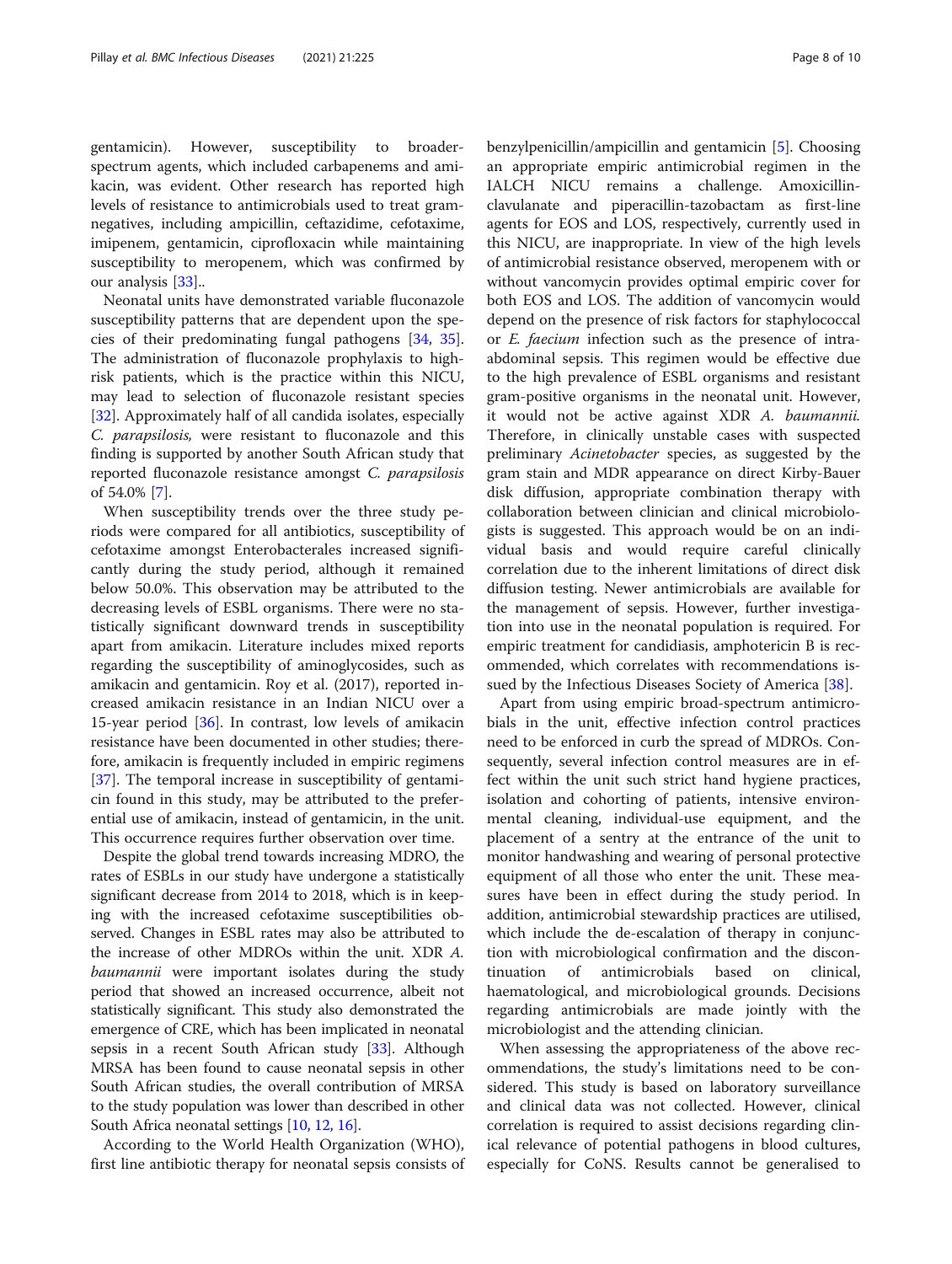gentamicin). However, susceptibility to broaderspectrum agents, which included carbapenems and amikacin, was evident. Other research has reported high levels of resistance to antimicrobials used to treat gramnegatives, including ampicillin, ceftazidime, cefotaxime, imipenem, gentamicin, ciprofloxacin while maintaining susceptibility to meropenem, which was confirmed by our analysis [\[33\]](#page-9-0)..

Neonatal units have demonstrated variable fluconazole susceptibility patterns that are dependent upon the species of their predominating fungal pathogens [[34](#page-9-0), [35](#page-9-0)]. The administration of fluconazole prophylaxis to highrisk patients, which is the practice within this NICU, may lead to selection of fluconazole resistant species [[32\]](#page-9-0). Approximately half of all candida isolates, especially C. parapsilosis, were resistant to fluconazole and this finding is supported by another South African study that reported fluconazole resistance amongst C. parapsilosis of 54.0% [\[7](#page-8-0)].

When susceptibility trends over the three study periods were compared for all antibiotics, susceptibility of cefotaxime amongst Enterobacterales increased significantly during the study period, although it remained below 50.0%. This observation may be attributed to the decreasing levels of ESBL organisms. There were no statistically significant downward trends in susceptibility apart from amikacin. Literature includes mixed reports regarding the susceptibility of aminoglycosides, such as amikacin and gentamicin. Roy et al. (2017), reported increased amikacin resistance in an Indian NICU over a 15-year period [[36\]](#page-9-0). In contrast, low levels of amikacin resistance have been documented in other studies; therefore, amikacin is frequently included in empiric regimens [[37\]](#page-9-0). The temporal increase in susceptibility of gentamicin found in this study, may be attributed to the preferential use of amikacin, instead of gentamicin, in the unit. This occurrence requires further observation over time.

Despite the global trend towards increasing MDRO, the rates of ESBLs in our study have undergone a statistically significant decrease from 2014 to 2018, which is in keeping with the increased cefotaxime susceptibilities observed. Changes in ESBL rates may also be attributed to the increase of other MDROs within the unit. XDR A. baumannii were important isolates during the study period that showed an increased occurrence, albeit not statistically significant. This study also demonstrated the emergence of CRE, which has been implicated in neonatal sepsis in a recent South African study [\[33](#page-9-0)]. Although MRSA has been found to cause neonatal sepsis in other South African studies, the overall contribution of MRSA to the study population was lower than described in other South Africa neonatal settings [[10](#page-8-0), [12,](#page-8-0) [16\]](#page-9-0).

According to the World Health Organization (WHO), first line antibiotic therapy for neonatal sepsis consists of benzylpenicillin/ampicillin and gentamicin [\[5](#page-8-0)]. Choosing an appropriate empiric antimicrobial regimen in the IALCH NICU remains a challenge. Amoxicillinclavulanate and piperacillin-tazobactam as first-line agents for EOS and LOS, respectively, currently used in this NICU, are inappropriate. In view of the high levels of antimicrobial resistance observed, meropenem with or without vancomycin provides optimal empiric cover for both EOS and LOS. The addition of vancomycin would depend on the presence of risk factors for staphylococcal or E. faecium infection such as the presence of intraabdominal sepsis. This regimen would be effective due to the high prevalence of ESBL organisms and resistant gram-positive organisms in the neonatal unit. However, it would not be active against XDR A. baumannii. Therefore, in clinically unstable cases with suspected preliminary Acinetobacter species, as suggested by the gram stain and MDR appearance on direct Kirby-Bauer disk diffusion, appropriate combination therapy with collaboration between clinician and clinical microbiologists is suggested. This approach would be on an individual basis and would require careful clinically correlation due to the inherent limitations of direct disk diffusion testing. Newer antimicrobials are available for the management of sepsis. However, further investigation into use in the neonatal population is required. For empiric treatment for candidiasis, amphotericin B is recommended, which correlates with recommendations is-sued by the Infectious Diseases Society of America [[38](#page-9-0)].

Apart from using empiric broad-spectrum antimicrobials in the unit, effective infection control practices need to be enforced in curb the spread of MDROs. Consequently, several infection control measures are in effect within the unit such strict hand hygiene practices, isolation and cohorting of patients, intensive environmental cleaning, individual-use equipment, and the placement of a sentry at the entrance of the unit to monitor handwashing and wearing of personal protective equipment of all those who enter the unit. These measures have been in effect during the study period. In addition, antimicrobial stewardship practices are utilised, which include the de-escalation of therapy in conjunction with microbiological confirmation and the discontinuation of antimicrobials based on clinical, haematological, and microbiological grounds. Decisions regarding antimicrobials are made jointly with the microbiologist and the attending clinician.

When assessing the appropriateness of the above recommendations, the study's limitations need to be considered. This study is based on laboratory surveillance and clinical data was not collected. However, clinical correlation is required to assist decisions regarding clinical relevance of potential pathogens in blood cultures, especially for CoNS. Results cannot be generalised to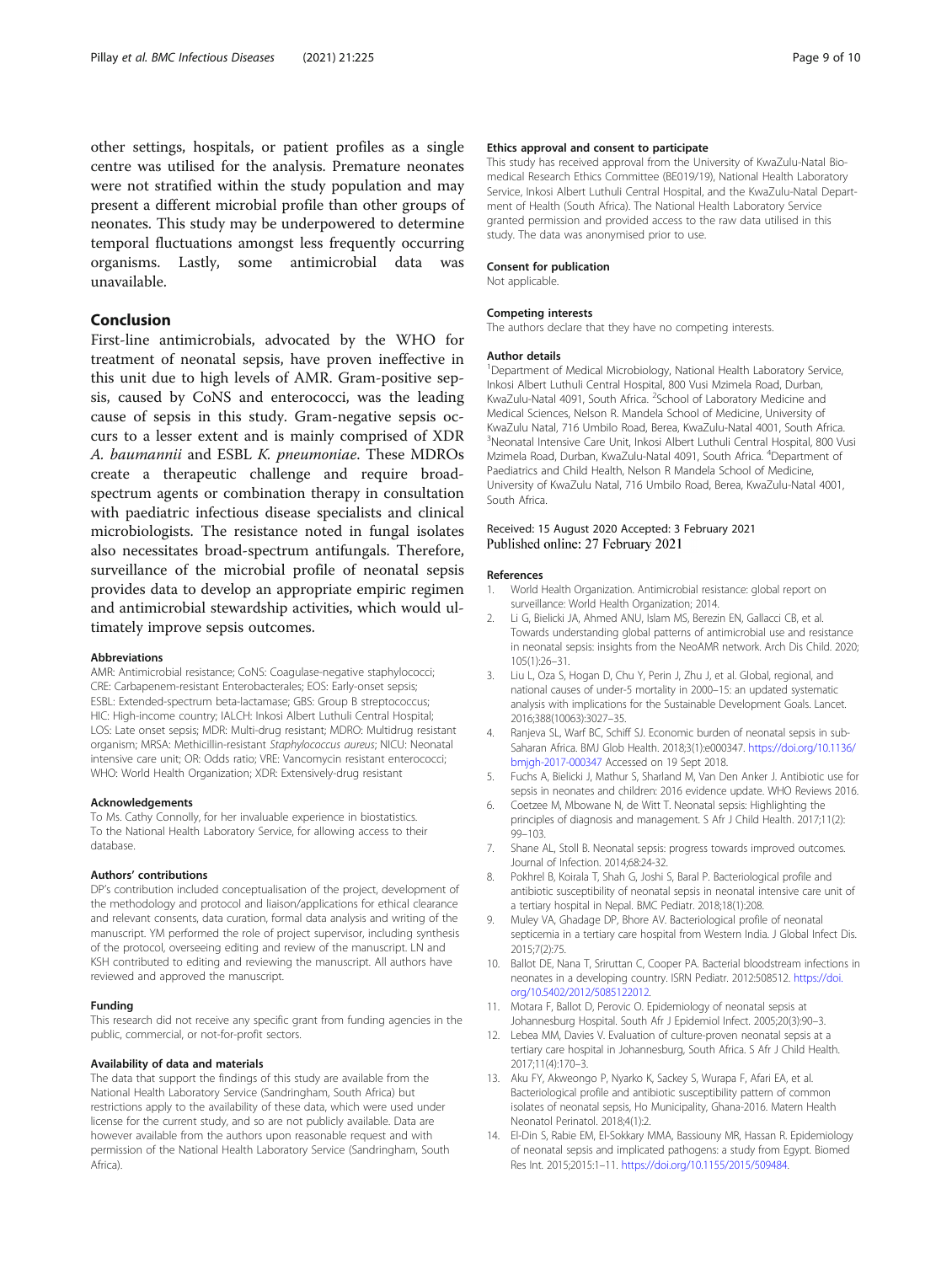<span id="page-8-0"></span>other settings, hospitals, or patient profiles as a single centre was utilised for the analysis. Premature neonates were not stratified within the study population and may present a different microbial profile than other groups of neonates. This study may be underpowered to determine temporal fluctuations amongst less frequently occurring organisms. Lastly, some antimicrobial data was unavailable.

## Conclusion

First-line antimicrobials, advocated by the WHO for treatment of neonatal sepsis, have proven ineffective in this unit due to high levels of AMR. Gram-positive sepsis, caused by CoNS and enterococci, was the leading cause of sepsis in this study. Gram-negative sepsis occurs to a lesser extent and is mainly comprised of XDR A. baumannii and ESBL K. pneumoniae. These MDROs create a therapeutic challenge and require broadspectrum agents or combination therapy in consultation with paediatric infectious disease specialists and clinical microbiologists. The resistance noted in fungal isolates also necessitates broad-spectrum antifungals. Therefore, surveillance of the microbial profile of neonatal sepsis provides data to develop an appropriate empiric regimen and antimicrobial stewardship activities, which would ultimately improve sepsis outcomes.

#### Abbreviations

AMR: Antimicrobial resistance; CoNS: Coagulase-negative staphylococci; CRE: Carbapenem-resistant Enterobacterales; EOS: Early-onset sepsis; ESBL: Extended-spectrum beta-lactamase; GBS: Group B streptococcus; HIC: High-income country; IALCH: Inkosi Albert Luthuli Central Hospital; LOS: Late onset sepsis; MDR: Multi-drug resistant; MDRO: Multidrug resistant organism; MRSA: Methicillin-resistant Staphylococcus aureus; NICU: Neonatal intensive care unit; OR: Odds ratio; VRE: Vancomycin resistant enterococci; WHO: World Health Organization; XDR: Extensively-drug resistant

#### Acknowledgements

To Ms. Cathy Connolly, for her invaluable experience in biostatistics. To the National Health Laboratory Service, for allowing access to their database.

#### Authors' contributions

DP's contribution included conceptualisation of the project, development of the methodology and protocol and liaison/applications for ethical clearance and relevant consents, data curation, formal data analysis and writing of the manuscript. YM performed the role of project supervisor, including synthesis of the protocol, overseeing editing and review of the manuscript. LN and KSH contributed to editing and reviewing the manuscript. All authors have reviewed and approved the manuscript.

#### Funding

This research did not receive any specific grant from funding agencies in the public, commercial, or not-for-profit sectors.

#### Availability of data and materials

The data that support the findings of this study are available from the National Health Laboratory Service (Sandringham, South Africa) but restrictions apply to the availability of these data, which were used under license for the current study, and so are not publicly available. Data are however available from the authors upon reasonable request and with permission of the National Health Laboratory Service (Sandringham, South Africa).

#### Ethics approval and consent to participate

This study has received approval from the University of KwaZulu-Natal Biomedical Research Ethics Committee (BE019/19), National Health Laboratory Service, Inkosi Albert Luthuli Central Hospital, and the KwaZulu-Natal Department of Health (South Africa). The National Health Laboratory Service granted permission and provided access to the raw data utilised in this study. The data was anonymised prior to use.

#### Consent for publication

Not applicable.

## Competing interests

The authors declare that they have no competing interests.

#### Author details

<sup>1</sup>Department of Medical Microbiology, National Health Laboratory Service, Inkosi Albert Luthuli Central Hospital, 800 Vusi Mzimela Road, Durban, KwaZulu-Natal 4091, South Africa. <sup>2</sup>School of Laboratory Medicine and Medical Sciences, Nelson R. Mandela School of Medicine, University of KwaZulu Natal, 716 Umbilo Road, Berea, KwaZulu-Natal 4001, South Africa. <sup>3</sup>Neonatal Intensive Care Unit, Inkosi Albert Luthuli Central Hospital, 800 Vusi Mzimela Road, Durban, KwaZulu-Natal 4091, South Africa. <sup>4</sup>Department of Paediatrics and Child Health, Nelson R Mandela School of Medicine, University of KwaZulu Natal, 716 Umbilo Road, Berea, KwaZulu-Natal 4001, South Africa.

#### Received: 15 August 2020 Accepted: 3 February 2021 Published online: 27 February 2021

#### References

- 1. World Health Organization. Antimicrobial resistance: global report on surveillance: World Health Organization; 2014.
- 2. Li G, Bielicki JA, Ahmed ANU, Islam MS, Berezin EN, Gallacci CB, et al. Towards understanding global patterns of antimicrobial use and resistance in neonatal sepsis: insights from the NeoAMR network. Arch Dis Child. 2020; 105(1):26–31.
- 3. Liu L, Oza S, Hogan D, Chu Y, Perin J, Zhu J, et al. Global, regional, and national causes of under-5 mortality in 2000–15: an updated systematic analysis with implications for the Sustainable Development Goals. Lancet. 2016;388(10063):3027–35.
- 4. Ranjeva SL, Warf BC, Schiff SJ. Economic burden of neonatal sepsis in sub-Saharan Africa. BMJ Glob Health. 2018;3(1):e000347. [https://doi.org/10.1136/](https://doi.org/10.1136/bmjgh-2017-000347) [bmjgh-2017-000347](https://doi.org/10.1136/bmjgh-2017-000347) Accessed on 19 Sept 2018.
- 5. Fuchs A, Bielicki J, Mathur S, Sharland M, Van Den Anker J. Antibiotic use for sepsis in neonates and children: 2016 evidence update. WHO Reviews 2016.
- 6. Coetzee M, Mbowane N, de Witt T. Neonatal sepsis: Highlighting the principles of diagnosis and management. S Afr J Child Health. 2017;11(2): 99–103.
- 7. Shane AL, Stoll B. Neonatal sepsis: progress towards improved outcomes. Journal of Infection. 2014;68:24-32.
- 8. Pokhrel B, Koirala T, Shah G, Joshi S, Baral P. Bacteriological profile and antibiotic susceptibility of neonatal sepsis in neonatal intensive care unit of a tertiary hospital in Nepal. BMC Pediatr. 2018;18(1):208.
- 9. Muley VA, Ghadage DP, Bhore AV. Bacteriological profile of neonatal septicemia in a tertiary care hospital from Western India. J Global Infect Dis. 2015;7(2):75.
- 10. Ballot DE, Nana T, Sriruttan C, Cooper PA. Bacterial bloodstream infections in neonates in a developing country. ISRN Pediatr. 2012:508512. [https://doi.](https://doi.org/10.5402/2012/5085122012) [org/10.5402/2012/5085122012](https://doi.org/10.5402/2012/5085122012).
- 11. Motara F, Ballot D, Perovic O. Epidemiology of neonatal sepsis at Johannesburg Hospital. South Afr J Epidemiol Infect. 2005;20(3):90–3.
- 12. Lebea MM, Davies V. Evaluation of culture-proven neonatal sepsis at a tertiary care hospital in Johannesburg, South Africa. S Afr J Child Health. 2017;11(4):170–3.
- 13. Aku FY, Akweongo P, Nyarko K, Sackey S, Wurapa F, Afari EA, et al. Bacteriological profile and antibiotic susceptibility pattern of common isolates of neonatal sepsis, Ho Municipality, Ghana-2016. Matern Health Neonatol Perinatol. 2018;4(1):2.
- 14. El-Din S, Rabie EM, El-Sokkary MMA, Bassiouny MR, Hassan R. Epidemiology of neonatal sepsis and implicated pathogens: a study from Egypt. Biomed Res Int. 2015;2015:1–11. [https://doi.org/10.1155/2015/509484.](https://doi.org/10.1155/2015/509484)